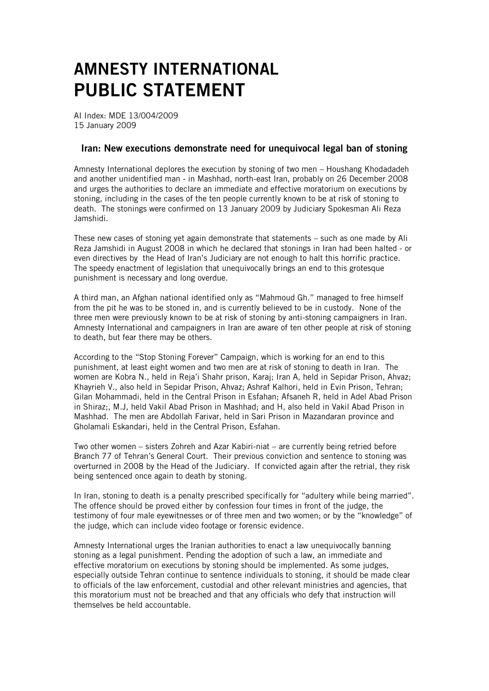## AMNESTY INTERNATIONAL PUBLIC STATEMENT

AI Index: MDE 13/004/2009 15 January 2009

## Iran: New executions demonstrate need for unequivocal legal ban of stoning

Amnesty International deplores the execution by stoning of two men – Houshang Khodadadeh and another unidentified man - in Mashhad, north-east Iran, probably on 26 December 2008 and urges the authorities to declare an immediate and effective moratorium on executions by stoning, including in the cases of the ten people currently known to be at risk of stoning to death. The stonings were confirmed on 13 January 2009 by Judiciary Spokesman Ali Reza Jamshidi.

These new cases of stoning yet again demonstrate that statements – such as one made by Ali Reza Jamshidi in August 2008 in which he declared that stonings in Iran had been halted - or even directives by the Head of Iran's Judiciary are not enough to halt this horrific practice. The speedy enactment of legislation that unequivocally brings an end to this grotesque punishment is necessary and long overdue.

A third man, an Afghan national identified only as "Mahmoud Gh." managed to free himself from the pit he was to be stoned in, and is currently believed to be in custody. None of the three men were previously known to be at risk of stoning by anti-stoning campaigners in Iran. Amnesty International and campaigners in Iran are aware of ten other people at risk of stoning to death, but fear there may be others.

According to the "Stop Stoning Forever" Campaign, which is working for an end to this punishment, at least eight women and two men are at risk of stoning to death in Iran. The women are Kobra N., held in Reja'i Shahr prison, Karaj; Iran A, held in Sepidar Prison, Ahvaz; Khayrieh V., also held in Sepidar Prison, Ahvaz; Ashraf Kalhori, held in Evin Prison, Tehran; Gilan Mohammadi, held in the Central Prison in Esfahan; Afsaneh R, held in Adel Abad Prison in Shiraz;, M.J, held Vakil Abad Prison in Mashhad; and H, also held in Vakil Abad Prison in Mashhad. The men are Abdollah Farivar, held in Sari Prison in Mazandaran province and Gholamali Eskandari, held in the Central Prison, Esfahan.

Two other women – sisters Zohreh and Azar Kabiri-niat – are currently being retried before Branch 77 of Tehran's General Court. Their previous conviction and sentence to stoning was overturned in 2008 by the Head of the Judiciary. If convicted again after the retrial, they risk being sentenced once again to death by stoning.

In Iran, stoning to death is a penalty prescribed specifically for "adultery while being married". The offence should be proved either by confession four times in front of the judge, the testimony of four male eyewitnesses or of three men and two women; or by the "knowledge" of the judge, which can include video footage or forensic evidence.

Amnesty International urges the Iranian authorities to enact a law unequivocally banning stoning as a legal punishment. Pending the adoption of such a law, an immediate and effective moratorium on executions by stoning should be implemented. As some judges, especially outside Tehran continue to sentence individuals to stoning, it should be made clear to officials of the law enforcement, custodial and other relevant ministries and agencies, that this moratorium must not be breached and that any officials who defy that instruction will themselves be held accountable.